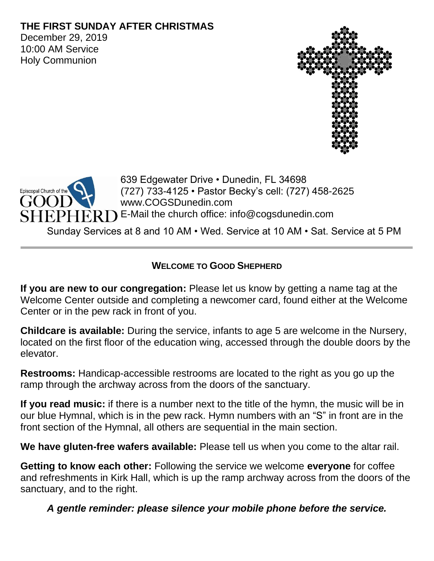### **THE FIRST SUNDAY AFTER CHRISTMAS**

December 29, 2019 10:00 AM Service Holy Communion





639 Edgewater Drive • Dunedin, FL 34698 (727) 733-4125 • Pastor Becky's cell: (727) 458-2625 www.COGSDunedin.com E-Mail the church office: info@cogsdunedin.com

Sunday Services at 8 and 10 AM • Wed. Service at 10 AM • Sat. Service at 5 PM

### **WELCOME TO GOOD SHEPHERD**

**If you are new to our congregation:** Please let us know by getting a name tag at the Welcome Center outside and completing a newcomer card, found either at the Welcome Center or in the pew rack in front of you.

**Childcare is available:** During the service, infants to age 5 are welcome in the Nursery, located on the first floor of the education wing, accessed through the double doors by the elevator.

**Restrooms:** Handicap-accessible restrooms are located to the right as you go up the ramp through the archway across from the doors of the sanctuary.

**If you read music:** if there is a number next to the title of the hymn, the music will be in our blue Hymnal, which is in the pew rack. Hymn numbers with an "S" in front are in the front section of the Hymnal, all others are sequential in the main section.

**We have gluten-free wafers available:** Please tell us when you come to the altar rail.

**Getting to know each other:** Following the service we welcome **everyone** for coffee and refreshments in Kirk Hall, which is up the ramp archway across from the doors of the sanctuary, and to the right.

*A gentle reminder: please silence your mobile phone before the service.*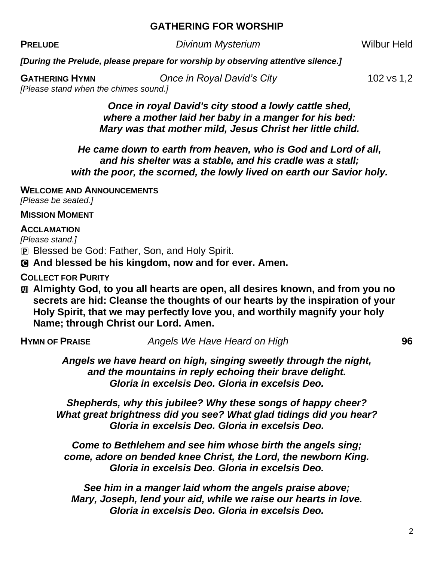#### **GATHERING FOR WORSHIP**

**PRELUDE** *Divinum Mysterium* **Divinum Divinum** 

*[During the Prelude, please prepare for worship by observing attentive silence.]*

*[Please stand when the chimes sound.]*

**GATHERING HYMN** *Once in Royal David's City* **102 VS 1,2** 

*Once in royal David's city stood a lowly cattle shed, where a mother laid her baby in a manger for his bed: Mary was that mother mild, Jesus Christ her little child.* 

*He came down to earth from heaven, who is God and Lord of all, and his shelter was a stable, and his cradle was a stall; with the poor, the scorned, the lowly lived on earth our Savior holy.*

**WELCOME AND ANNOUNCEMENTS**

*[Please be seated.]*

#### **MISSION MOMENT**

#### **ACCLAMATION**

*[Please stand.]*

P Blessed be God: Father, Son, and Holy Spirit.

C **And blessed be his kingdom, now and for ever. Amen.**

**COLLECT FOR PURITY**

 $\text{m}$  **Almighty God, to you all hearts are open, all desires known, and from you no secrets are hid: Cleanse the thoughts of our hearts by the inspiration of your Holy Spirit, that we may perfectly love you, and worthily magnify your holy Name; through Christ our Lord. Amen.**

**HYMN OF PRAISE** *Angels We Have Heard on High* **96**

*Angels we have heard on high, singing sweetly through the night, and the mountains in reply echoing their brave delight. Gloria in excelsis Deo. Gloria in excelsis Deo.*

*Shepherds, why this jubilee? Why these songs of happy cheer? What great brightness did you see? What glad tidings did you hear? Gloria in excelsis Deo. Gloria in excelsis Deo.*

*Come to Bethlehem and see him whose birth the angels sing; come, adore on bended knee Christ, the Lord, the newborn King. Gloria in excelsis Deo. Gloria in excelsis Deo.*

*See him in a manger laid whom the angels praise above; Mary, Joseph, lend your aid, while we raise our hearts in love. Gloria in excelsis Deo. Gloria in excelsis Deo.*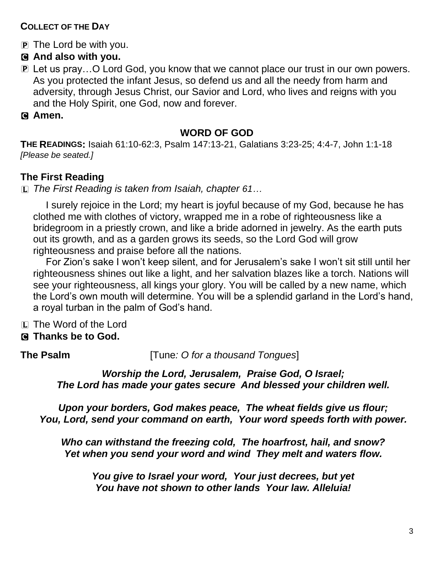### **COLLECT OF THE DAY**

P The Lord be with you.

### C **And also with you.**

- P Let us pray... O Lord God, you know that we cannot place our trust in our own powers. As you protected the infant Jesus, so defend us and all the needy from harm and adversity, through Jesus Christ, our Savior and Lord, who lives and reigns with you and the Holy Spirit, one God, now and forever.
- C **Amen.**

#### **WORD OF GOD**

**THE READINGS:** Isaiah 61:10-62:3, Psalm 147:13-21, Galatians 3:23-25; 4:4-7, John 1:1-18 *[Please be seated.]*

### **The First Reading**

L *The First Reading is taken from Isaiah, chapter 61…*

I surely rejoice in the Lord; my heart is joyful because of my God, because he has clothed me with clothes of victory, wrapped me in a robe of righteousness like a bridegroom in a priestly crown, and like a bride adorned in jewelry. As the earth puts out its growth, and as a garden grows its seeds, so the Lord God will grow righteousness and praise before all the nations.

For Zion's sake I won't keep silent, and for Jerusalem's sake I won't sit still until her righteousness shines out like a light, and her salvation blazes like a torch. Nations will see your righteousness, all kings your glory. You will be called by a new name, which the Lord's own mouth will determine. You will be a splendid garland in the Lord's hand, a royal turban in the palm of God's hand.

- L The Word of the Lord
- C **Thanks be to God.**

**The Psalm** [Tune*: O for a thousand Tongues*]

*Worship the Lord, Jerusalem, Praise God, O Israel; The Lord has made your gates secure And blessed your children well.*

*Upon your borders, God makes peace, The wheat fields give us flour; You, Lord, send your command on earth, Your word speeds forth with power.*

*Who can withstand the freezing cold, The hoarfrost, hail, and snow? Yet when you send your word and wind They melt and waters flow.*

*You give to Israel your word, Your just decrees, but yet You have not shown to other lands Your law. Alleluia!*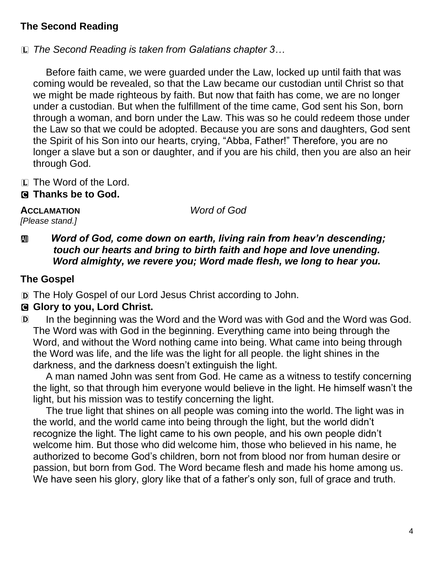## **The Second Reading**

L *The Second Reading is taken from Galatians chapter 3…*

Before faith came, we were guarded under the Law, locked up until faith that was coming would be revealed, so that the Law became our custodian until Christ so that we might be made righteous by faith. But now that faith has come, we are no longer under a custodian. But when the fulfillment of the time came, God sent his Son, born through a woman, and born under the Law. This was so he could redeem those under the Law so that we could be adopted. Because you are sons and daughters, God sent the Spirit of his Son into our hearts, crying, "Abba, Father!" Therefore, you are no longer a slave but a son or daughter, and if you are his child, then you are also an heir through God.

- L The Word of the Lord.
- C **Thanks be to God.**

**ACCLAMATION** *Word of God*

# *[Please stand.]*

### *m Word of God, come down on earth, living rain from heav'n descending; touch our hearts and bring to birth faith and hope and love unending. Word almighty, we revere you; Word made flesh, we long to hear you.*

## **The Gospel**

D The Holy Gospel of our Lord Jesus Christ according to John.

## C **Glory to you, Lord Christ.**

D In the beginning was the Word and the Word was with God and the Word was God. The Word was with God in the beginning. Everything came into being through the Word, and without the Word nothing came into being. What came into being through the Word was life, and the life was the light for all people. the light shines in the darkness, and the darkness doesn't extinguish the light.

A man named John was sent from God. He came as a witness to testify concerning the light, so that through him everyone would believe in the light. He himself wasn't the light, but his mission was to testify concerning the light.

The true light that shines on all people was coming into the world. The light was in the world, and the world came into being through the light, but the world didn't recognize the light. The light came to his own people, and his own people didn't welcome him. But those who did welcome him, those who believed in his name, he authorized to become God's children, born not from blood nor from human desire or passion, but born from God. The Word became flesh and made his home among us. We have seen his glory, glory like that of a father's only son, full of grace and truth.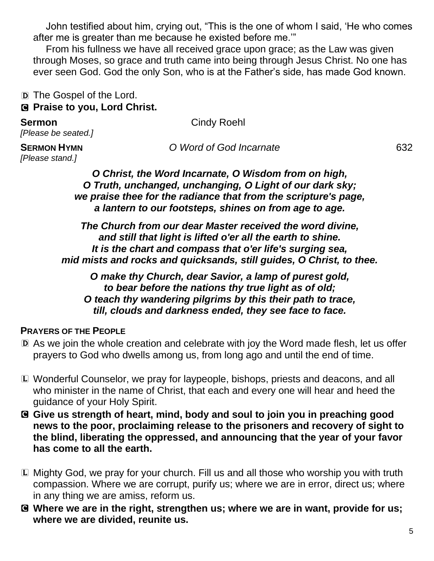John testified about him, crying out, "This is the one of whom I said, 'He who comes after me is greater than me because he existed before me.'"

From his fullness we have all received grace upon grace; as the Law was given through Moses, so grace and truth came into being through Jesus Christ. No one has ever seen God. God the only Son, who is at the Father's side, has made God known.

D The Gospel of the Lord. C **Praise to you, Lord Christ.** 

**Sermon** Cindy Roehl

## *[Please be seated.]*

*[Please stand.]*

**SERMON HYMN** *O Word of God Incarnate* 632

*O Christ, the Word Incarnate, O Wisdom from on high, O Truth, unchanged, unchanging, O Light of our dark sky; we praise thee for the radiance that from the scripture's page, a lantern to our footsteps, shines on from age to age.*

*The Church from our dear Master received the word divine, and still that light is lifted o'er all the earth to shine. It is the chart and compass that o'er life's surging sea, mid mists and rocks and quicksands, still guides, O Christ, to thee.*

*O make thy Church, dear Savior, a lamp of purest gold, to bear before the nations thy true light as of old; O teach thy wandering pilgrims by this their path to trace, till, clouds and darkness ended, they see face to face.* 

#### **PRAYERS OF THE PEOPLE**

- D As we join the whole creation and celebrate with joy the Word made flesh, let us offer prayers to God who dwells among us, from long ago and until the end of time.
- L Wonderful Counselor, we pray for laypeople, bishops, priests and deacons, and all who minister in the name of Christ, that each and every one will hear and heed the guidance of your Holy Spirit.
- C **Give us strength of heart, mind, body and soul to join you in preaching good news to the poor, proclaiming release to the prisoners and recovery of sight to the blind, liberating the oppressed, and announcing that the year of your favor has come to all the earth.**
- L Mighty God, we pray for your church. Fill us and all those who worship you with truth compassion. Where we are corrupt, purify us; where we are in error, direct us; where in any thing we are amiss, reform us.
- C **Where we are in the right, strengthen us; where we are in want, provide for us; where we are divided, reunite us.**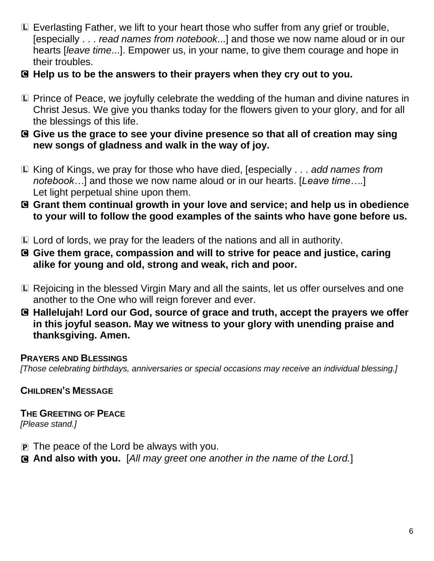- L Everlasting Father, we lift to your heart those who suffer from any grief or trouble, [especially . . . *read names from notebook*...] and those we now name aloud or in our hearts [*leave time*...]. Empower us, in your name, to give them courage and hope in their troubles.
- C **Help us to be the answers to their prayers when they cry out to you.**
- L Prince of Peace, we joyfully celebrate the wedding of the human and divine natures in Christ Jesus. We give you thanks today for the flowers given to your glory, and for all the blessings of this life.
- C **Give us the grace to see your divine presence so that all of creation may sing new songs of gladness and walk in the way of joy.**
- L King of Kings, we pray for those who have died, [especially . . . *add names from notebook…*] and those we now name aloud or in our hearts. [*Leave time….*] Let light perpetual shine upon them.
- C **Grant them continual growth in your love and service; and help us in obedience to your will to follow the good examples of the saints who have gone before us.**
- L Lord of lords, we pray for the leaders of the nations and all in authority.
- C **Give them grace, compassion and will to strive for peace and justice, caring alike for young and old, strong and weak, rich and poor.**
- L Rejoicing in the blessed Virgin Mary and all the saints, let us offer ourselves and one another to the One who will reign forever and ever.
- C **Hallelujah! Lord our God, source of grace and truth, accept the prayers we offer in this joyful season. May we witness to your glory with unending praise and thanksgiving. Amen.**

#### **PRAYERS AND BLESSINGS**

*[Those celebrating birthdays, anniversaries or special occasions may receive an individual blessing.]*

**CHILDREN'S MESSAGE**

**THE GREETING OF PEACE** *[Please stand.]*

- $\mathbf{P}$  The peace of the Lord be always with you.
- C **And also with you.** [*All may greet one another in the name of the Lord.*]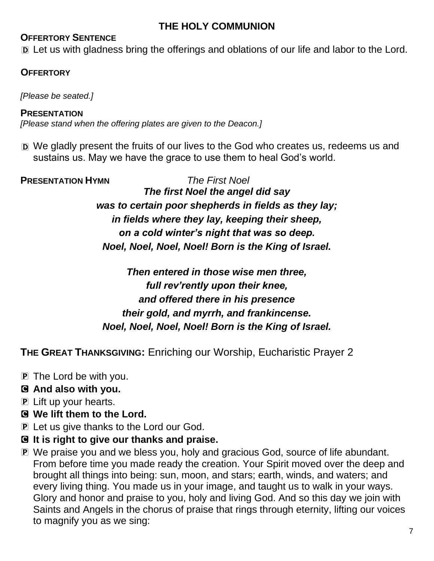## **THE HOLY COMMUNION**

### **OFFERTORY SENTENCE**

D Let us with gladness bring the offerings and oblations of our life and labor to the Lord.

#### **OFFERTORY**

*[Please be seated.]*

**PRESENTATION** *[Please stand when the offering plates are given to the Deacon.]*

D We gladly present the fruits of our lives to the God who creates us, redeems us and sustains us. May we have the grace to use them to heal God's world.

**PRESENTATION HYMN** *The First Noel The first Noel the angel did say was to certain poor shepherds in fields as they lay; in fields where they lay, keeping their sheep, on a cold winter's night that was so deep. Noel, Noel, Noel, Noel! Born is the King of Israel.*

> *Then entered in those wise men three, full rev'rently upon their knee, and offered there in his presence their gold, and myrrh, and frankincense. Noel, Noel, Noel, Noel! Born is the King of Israel.*

**THE GREAT THANKSGIVING:** Enriching our Worship, Eucharistic Prayer 2

- P The Lord be with you.
- C **And also with you.**
- P Lift up your hearts.
- C **We lift them to the Lord.**
- P Let us give thanks to the Lord our God.
- C **It is right to give our thanks and praise.**
- P We praise you and we bless you, holy and gracious God, source of life abundant. From before time you made ready the creation. Your Spirit moved over the deep and brought all things into being: sun, moon, and stars; earth, winds, and waters; and every living thing. You made us in your image, and taught us to walk in your ways. Glory and honor and praise to you, holy and living God. And so this day we join with Saints and Angels in the chorus of praise that rings through eternity, lifting our voices to magnify you as we sing: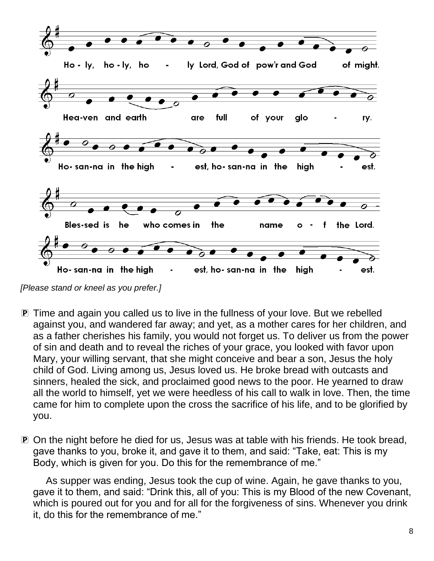

*[Please stand or kneel as you prefer.]*

- P Time and again you called us to live in the fullness of your love. But we rebelled against you, and wandered far away; and yet, as a mother cares for her children, and as a father cherishes his family, you would not forget us. To deliver us from the power of sin and death and to reveal the riches of your grace, you looked with favor upon Mary, your willing servant, that she might conceive and bear a son, Jesus the holy child of God. Living among us, Jesus loved us. He broke bread with outcasts and sinners, healed the sick, and proclaimed good news to the poor. He yearned to draw all the world to himself, yet we were heedless of his call to walk in love. Then, the time came for him to complete upon the cross the sacrifice of his life, and to be glorified by you.
- P On the night before he died for us, Jesus was at table with his friends. He took bread, gave thanks to you, broke it, and gave it to them, and said: "Take, eat: This is my Body, which is given for you. Do this for the remembrance of me."

As supper was ending, Jesus took the cup of wine. Again, he gave thanks to you, gave it to them, and said: "Drink this, all of you: This is my Blood of the new Covenant, which is poured out for you and for all for the forgiveness of sins. Whenever you drink it, do this for the remembrance of me."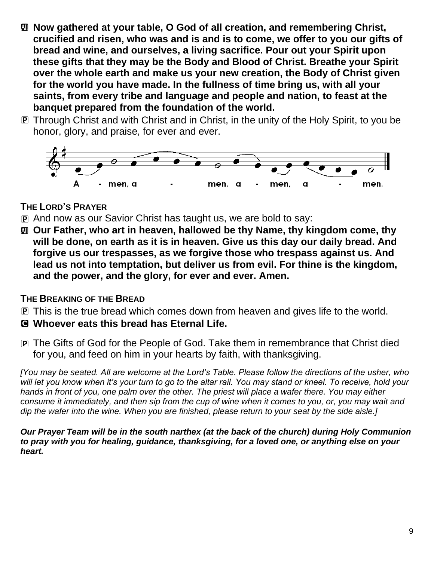- $\textcircled{u}$  Now gathered at your table, O God of all creation, and remembering Christ, **crucified and risen, who was and is and is to come, we offer to you our gifts of bread and wine, and ourselves, a living sacrifice. Pour out your Spirit upon these gifts that they may be the Body and Blood of Christ. Breathe your Spirit over the whole earth and make us your new creation, the Body of Christ given for the world you have made. In the fullness of time bring us, with all your saints, from every tribe and language and people and nation, to feast at the banquet prepared from the foundation of the world.**
- P Through Christ and with Christ and in Christ, in the unity of the Holy Spirit, to you be honor, glory, and praise, for ever and ever.



## **THE LORD'S PRAYER**

- P And now as our Savior Christ has taught us, we are bold to say:
- **M** Our Father, who art in heaven, hallowed be thy Name, thy kingdom come, thy **will be done, on earth as it is in heaven. Give us this day our daily bread. And forgive us our trespasses, as we forgive those who trespass against us. And lead us not into temptation, but deliver us from evil. For thine is the kingdom, and the power, and the glory, for ever and ever. Amen.**

### **THE BREAKING OF THE BREAD**

- P This is the true bread which comes down from heaven and gives life to the world.
- C **Whoever eats this bread has Eternal Life.**
- P The Gifts of God for the People of God. Take them in remembrance that Christ died for you, and feed on him in your hearts by faith, with thanksgiving.

*[You may be seated. All are welcome at the Lord's Table. Please follow the directions of the usher, who*  will let you know when it's your turn to go to the altar rail. You may stand or kneel. To receive, hold your *hands in front of you, one palm over the other. The priest will place a wafer there. You may either consume it immediately, and then sip from the cup of wine when it comes to you, or, you may wait and dip the wafer into the wine. When you are finished, please return to your seat by the side aisle.]*

*Our Prayer Team will be in the south narthex (at the back of the church) during Holy Communion to pray with you for healing, guidance, thanksgiving, for a loved one, or anything else on your heart.*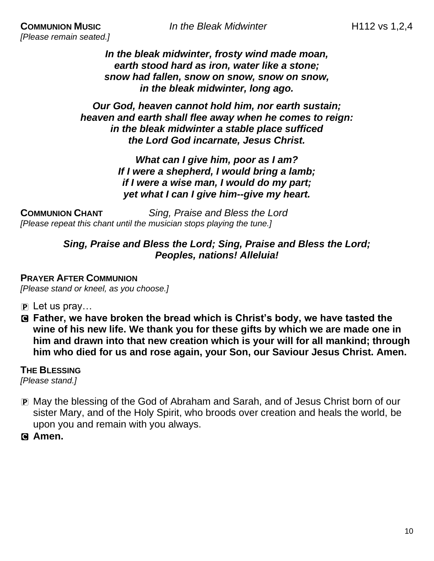*[Please remain seated.]*

*In the bleak midwinter, frosty wind made moan, earth stood hard as iron, water like a stone; snow had fallen, snow on snow, snow on snow, in the bleak midwinter, long ago.*

*Our God, heaven cannot hold him, nor earth sustain; heaven and earth shall flee away when he comes to reign: in the bleak midwinter a stable place sufficed the Lord God incarnate, Jesus Christ.*

> *What can I give him, poor as I am? If I were a shepherd, I would bring a lamb; if I were a wise man, I would do my part; yet what I can I give him--give my heart.*

**COMMUNION CHANT** *Sing, Praise and Bless the Lord [Please repeat this chant until the musician stops playing the tune.]*

#### *Sing, Praise and Bless the Lord; Sing, Praise and Bless the Lord; Peoples, nations! Alleluia!*

## **PRAYER AFTER COMMUNION**

*[Please stand or kneel, as you choose.]*

- $\mathbf{P}$  Let us pray...
- C **Father, we have broken the bread which is Christ's body, we have tasted the wine of his new life. We thank you for these gifts by which we are made one in him and drawn into that new creation which is your will for all mankind; through him who died for us and rose again, your Son, our Saviour Jesus Christ. Amen.**

**THE BLESSING**

*[Please stand.]*

- P May the blessing of the God of Abraham and Sarah, and of Jesus Christ born of our sister Mary, and of the Holy Spirit, who broods over creation and heals the world, be upon you and remain with you always.
- C **Amen.**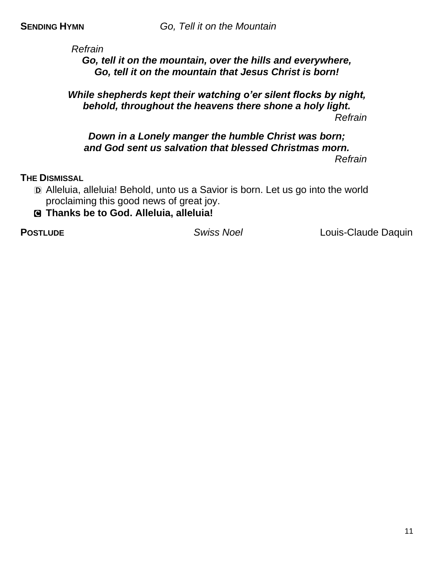*Refrain*

*Go, tell it on the mountain, over the hills and everywhere, Go, tell it on the mountain that Jesus Christ is born!*

#### *While shepherds kept their watching o'er silent flocks by night, behold, throughout the heavens there shone a holy light. Refrain*

#### *Down in a Lonely manger the humble Christ was born; and God sent us salvation that blessed Christmas morn. Refrain*

#### **THE DISMISSAL**

D Alleluia, alleluia! Behold, unto us a Savior is born. Let us go into the world proclaiming this good news of great joy.

### C **Thanks be to God. Alleluia, alleluia!**

**POSTLUDE** *Swiss Noel* Louis-Claude Daquin